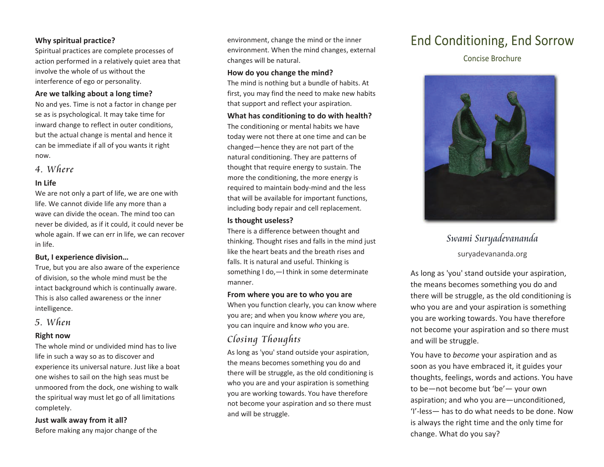#### **Why spiritual practice?**

Spiritual practices are complete processes of action performed in <sup>a</sup> relatively quiet area that involve the whole of us without the interference of ego or personality.

#### **Are we talking about <sup>a</sup> long time?**

No and yes. Time is not <sup>a</sup> factor in change per se as is psychological. It may take time for inward change to reflect in outer conditions, but the actual change is mental and hence it can be immediate if all of you wants it right now.

### 4. Where

#### **In Life**

We are not only <sup>a</sup> part of life, we are one with life. We cannot divide life any more than <sup>a</sup> wave can divide the ocean. The mind too can never be divided, as if it could, it could never be whole again. If we can err in life, we can recover in life.

#### **But, I experience division…**

True, but you are also aware of the experience of division, so the whole mind must be the intact background which is continually aware. This is also called awareness or the inner intelligence.

### 5. When

#### **Right now**

The whole mind or undivided mind has to live life in such <sup>a</sup> way so as to discover and experience its universal nature. Just like <sup>a</sup> boat one wishes to sail on the high seas must be unmoored from the dock, one wishing to walk the spiritual way must let go of all limitations completely.

**Just walk away from it all?** Before making any major change of the environment, change the mind or the inner environment. When the mind changes, external changes will be natural.

#### **How do you change the mind?**

The mind is nothing but <sup>a</sup> bundle of habits. At first, you may find the need to make new habits that support and reflect your aspiration.

#### **What has conditioning to do with health?**

The conditioning or mental habits we have today were not there at one time and can be changed—hence they are not part of the natural conditioning. They are patterns of thought that require energy to sustain. The more the conditioning, the more energy is required to maintain body‐mind and the less that will be available for important functions, including body repair and cell replacement.

#### **Is thought useless?**

There is <sup>a</sup> difference between thought and thinking. Thought rises and falls in the mind just like the heart beats and the breath rises and falls. It is natural and useful. Thinking is something I do,—I think in some determinate manner.

#### **From where you are to who you are**

When you function clearly, you can know where you are; and when you know *where* you are, you can inquire and know *who* you are.

# Closing Thoughts

As long as 'you' stand outside your aspiration, the means becomes something you do and there will be struggle, as the old conditioning is who you are and your aspiration is something you are working towards. You have therefore not become your aspiration and so there must and will be struggle.

# End Conditioning, End Sorrow

Concise Brochure



# Swami Suryadevananda suryadevananda.org

As long as 'you' stand outside your aspiration, the means becomes something you do and there will be struggle, as the old conditioning is who you are and your aspiration is something you are working towards. You have therefore not become your aspiration and so there must and will be struggle.

You have to *become* your aspiration and as soon as you have embraced it, it guides your thoughts, feelings, words and actions. You have to be—not become but 'be'— your own aspiration; and who you are—unconditioned, 'I'‐less— has to do what needs to be done. Now is always the right time and the only time for change. What do you say?